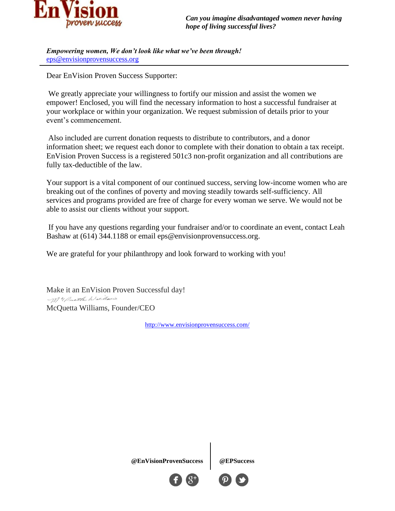

*Empowering women, We don't look like what we've been through!* [eps@envisionprovensuccess.org](mailto:eps@envisionprovensuccess.org)

Dear EnVision Proven Success Supporter:

We greatly appreciate your willingness to fortify our mission and assist the women we empower! Enclosed, you will find the necessary information to host a successful fundraiser at your workplace or within your organization. We request submission of details prior to your event's commencement.

Also included are current donation requests to distribute to contributors, and a donor information sheet; we request each donor to complete with their donation to obtain a tax receipt. EnVision Proven Success is a registered 501c3 non-profit organization and all contributions are fully tax-deductible of the law.

Your support is a vital component of our continued success, serving low-income women who are breaking out of the confines of poverty and moving steadily towards self-sufficiency. All services and programs provided are free of charge for every woman we serve. We would not be able to assist our clients without your support.

If you have any questions regarding your fundraiser and/or to coordinate an event, contact Leah Bashaw at (614) 344.1188 or email eps@envisionprovensuccess.org.

We are grateful for your philanthropy and look forward to working with you!

Make it an EnVision Proven Successful day! My Puetta Willows McQuetta Williams, Founder/CEO

<http://www.envisionprovensuccess.com/>

**@EnVisionProvenSuccess @EPSuccess**

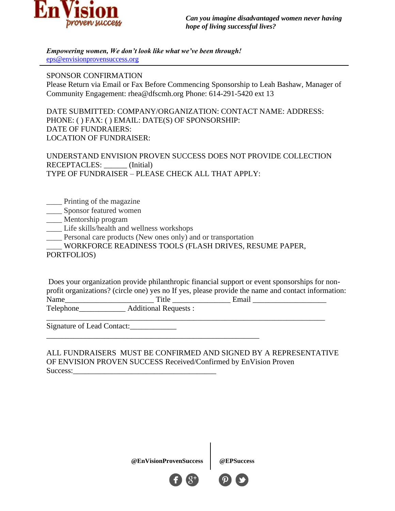

*Empowering women, We don't look like what we've been through!* [eps@envisionprovensuccess.org](mailto:eps@envisionprovensuccess.org)

## SPONSOR CONFIRMATION

Please Return via Email or Fax Before Commencing Sponsorship to Leah Bashaw, Manager of Community Engagement: rhea@dfscmh.org Phone: 614-291-5420 ext 13

DATE SUBMITTED: COMPANY/ORGANIZATION: CONTACT NAME: ADDRESS: PHONE: ( ) FAX: ( ) EMAIL: DATE(S) OF SPONSORSHIP: DATE OF FUNDRAIERS: LOCATION OF FUNDRAISER:

UNDERSTAND ENVISION PROVEN SUCCESS DOES NOT PROVIDE COLLECTION RECEPTACLES: (Initial) TYPE OF FUNDRAISER – PLEASE CHECK ALL THAT APPLY:

- \_\_\_\_ Printing of the magazine
- \_\_\_\_ Sponsor featured women
- \_\_\_\_ Mentorship program
- Life skills/health and wellness workshops
- \_\_\_\_ Personal care products (New ones only) and or transportation
- \_\_\_\_ WORKFORCE READINESS TOOLS (FLASH DRIVES, RESUME PAPER,

## PORTFOLIOS)

Does your organization provide philanthropic financial support or event sponsorships for nonprofit organizations? (circle one) yes no If yes, please provide the name and contact information: Name\_\_\_\_\_\_\_\_\_\_\_\_\_\_\_\_\_\_\_\_\_\_\_ Title \_\_\_\_\_\_\_\_\_\_\_\_\_\_\_ Email \_\_\_\_\_\_\_\_\_\_\_\_\_\_\_\_\_\_\_ Telephone\_\_\_\_\_\_\_\_\_\_\_\_\_\_\_\_ Additional Requests :

Signature of Lead Contact:

ALL FUNDRAISERS MUST BE CONFIRMED AND SIGNED BY A REPRESENTATIVE OF ENVISION PROVEN SUCCESS Received/Confirmed by EnVision Proven Success:

**@EnVisionProvenSuccess @EPSuccess**